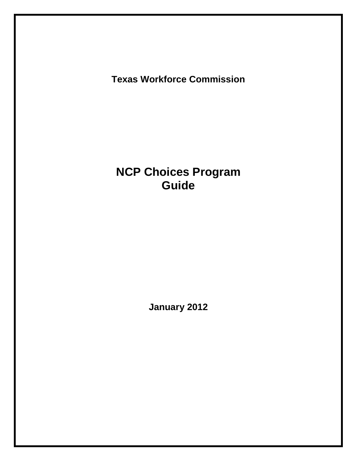**Texas Workforce Commission** 

# **NCP Choices Program Guide**

 **January 2012**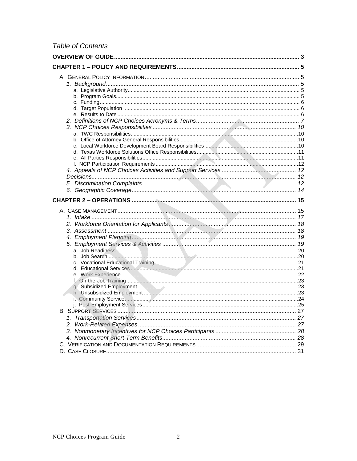## **Table of Contents**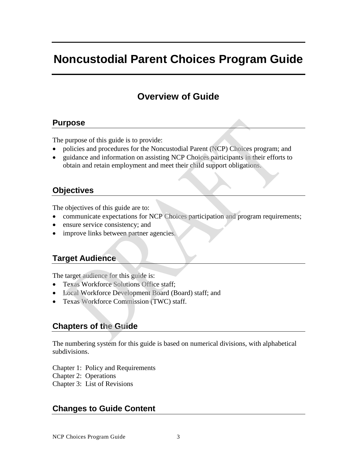# <span id="page-2-0"></span>**Noncustodial Parent Choices Program Guide**

## **Overview of Guide**

## **Purpose**

The purpose of this guide is to provide:

- policies and procedures for the Noncustodial Parent (NCP) Choices program; and
- guidance and information on assisting NCP Choices participants in their efforts to obtain and retain employment and meet their child support obligations.

## **Objectives**

The objectives of this guide are to:

- communicate expectations for NCP Choices participation and program requirements;
- ensure service consistency; and
- improve links between partner agencies.

## **Target Audience**

The target audience for this guide is:

- Texas Workforce Solutions Office staff:
- Local Workforce Development Board (Board) staff; and
- Texas Workforce Commission (TWC) staff.

## **Chapters of the Guide**

The numbering system for this guide is based on numerical divisions, with alphabetical subdivisions.

Chapter 1: Policy and Requirements

Chapter 2: Operations

Chapter 3: List of Revisions

## **Changes to Guide Content**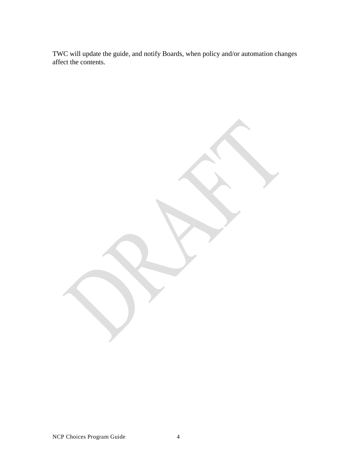TWC will update the guide, and notify Boards, when policy and/or automation changes affect the contents.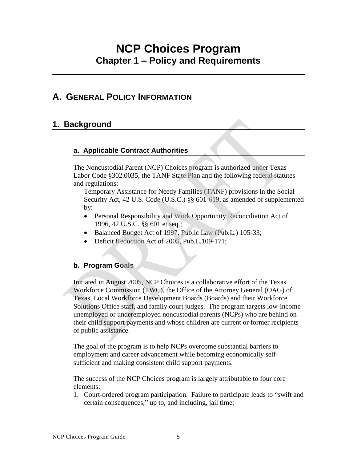# <span id="page-4-0"></span> **Chapter 1 – Policy and Requirements NCP Choices Program**

## **A. GENERAL POLICY INFORMATION**

## **1. Background**

### **a. Applicable Contract Authorities**

The Noncustodial Parent (NCP) Choices program is authorized under Texas Labor Code §302.0035, the TANF State Plan and the following federal statutes and regulations:

Temporary Assistance for Needy Families (TANF) provisions in the Social Security Act, 42 U.S. Code (U.S.C.) §§ 601-619, as amended or supplemented by:

- Personal Responsibility and Work Opportunity Reconciliation Act of 1996, 42 U.S.C. §§ 601 et seq.;
- Balanced Budget Act of 1997, Public Law (Pub.L.) 105-33;
- Deficit Reduction Act of 2005, Pub.L.109-171;

## **b. Program Goals**

Initiated in August 2005, NCP Choices is a collaborative effort of the Texas Workforce Commission (TWC), the Office of the Attorney General (OAG) of Texas, Local Workforce Development Boards (Boards) and their Workforce Solutions Office staff, and family court judges. The program targets low-income unemployed or underemployed noncustodial parents (NCPs) who are behind on their child support payments and whose children are current or former recipients of public assistance.

The goal of the program is to help NCPs overcome substantial barriers to employment and career advancement while becoming economically selfsufficient and making consistent child support payments.

The success of the NCP Choices program is largely attributable to four core elements:

 certain consequences," up to, and including, jail time; 1. Court-ordered program participation. Failure to participate leads to "swift and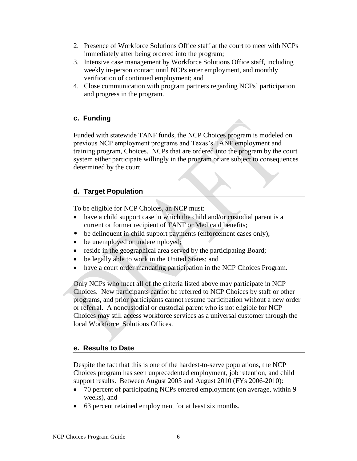- <span id="page-5-0"></span> immediately after being ordered into the program; 2. Presence of Workforce Solutions Office staff at the court to meet with NCPs
- 3. Intensive case management by Workforce Solutions Office staff, including weekly in-person contact until NCPs enter employment, and monthly verification of continued employment; and
- and progress in the program. 4. Close communication with program partners regarding NCPs' participation

#### **c. Funding**

Funded with statewide TANF funds, the NCP Choices program is modeled on previous NCP employment programs and Texas's TANF employment and training program, Choices. NCPs that are ordered into the program by the court system either participate willingly in the program or are subject to consequences determined by the court.

### **d. Target Population**

To be eligible for NCP Choices, an NCP must:

- have a child support case in which the child and/or custodial parent is a current or former recipient of TANF or Medicaid benefits;
- be delinquent in child support payments (enforcement cases only);
- be unemployed or underemployed;
- reside in the geographical area served by the participating Board;
- be legally able to work in the United States; and
- have a court order mandating participation in the NCP Choices Program.

Only NCPs who meet all of the criteria listed above may participate in NCP Choices. New participants cannot be referred to NCP Choices by staff or other programs, and prior participants cannot resume participation without a new order or referral. A noncustodial or custodial parent who is not eligible for NCP Choices may still access workforce services as a universal customer through the local Workforce Solutions Offices.

#### **e. Results to Date**

Despite the fact that this is one of the hardest-to-serve populations, the NCP Choices program has seen unprecedented employment, job retention, and child support results. Between August 2005 and August 2010 (FYs 2006-2010):

- 70 percent of participating NCPs entered employment (on average, within 9 weeks), and
- 63 percent retained employment for at least six months.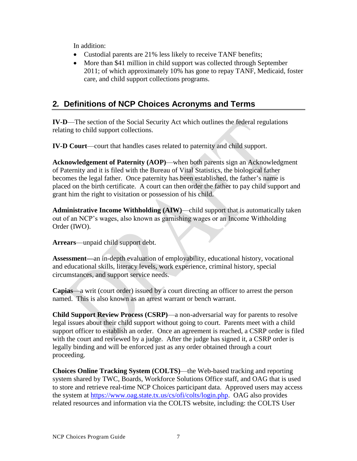<span id="page-6-0"></span>In addition:

- Custodial parents are 21% less likely to receive TANF benefits;
- More than \$41 million in child support was collected through September 2011; of which approximately 10% has gone to repay TANF, Medicaid, foster care, and child support collections programs.

## **2***.* **Definitions of NCP Choices Acronyms and Terms**

**IV-D**—The section of the Social Security Act which outlines the federal regulations relating to child support collections.

**IV-D Court**—court that handles cases related to paternity and child support.

**Acknowledgement of Paternity (AOP)**—when both parents sign an Acknowledgment of Paternity and it is filed with the Bureau of Vital Statistics, the biological father becomes the legal father. Once paternity has been established, the father's name is placed on the birth certificate. A court can then order the father to pay child support and grant him the right to visitation or possession of his child.

**Administrative Income Withholding (AIW)**—child support that is automatically taken out of an NCP's wages, also known as garnishing wages or an Income Withholding Order (IWO).

**Arrears**—unpaid child support debt.

**Assessment—**an in-depth evaluation of employability, educational history, vocational and educational skills, literacy levels, work experience, criminal history, special circumstances, and support service needs.

**Capias**—a writ (court order) issued by a court directing an officer to arrest the person named. This is also known as an arrest warrant or bench warrant.

**Child Support Review Process (CSRP)**—a non-adversarial way for parents to resolve legal issues about their child support without going to court. Parents meet with a child support officer to establish an order. Once an agreement is reached, a CSRP order is filed with the court and reviewed by a judge. After the judge has signed it, a CSRP order is legally binding and will be enforced just as any order obtained through a court proceeding.

the system at [https://www.oag.state.tx.us/cs/ofi/colts/login.php.](https://www.oag.state.tx.us/cs/ofi/colts/login.php) OAG also provides **Choices Online Tracking System (COLTS)**—the Web-based tracking and reporting system shared by TWC, Boards, Workforce Solutions Office staff, and OAG that is used to store and retrieve real-time NCP Choices participant data. Approved users may access related resources and information via the COLTS website, including: the COLTS User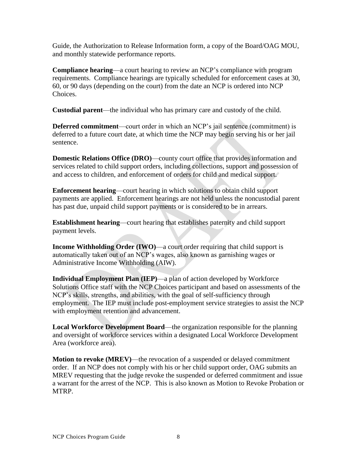and monthly statewide performance reports. Guide, the Authorization to Release Information form, a copy of the Board/OAG MOU,

 **Compliance hearing**—a court hearing to review an NCP's compliance with program requirements. Compliance hearings are typically scheduled for enforcement cases at 30, 60, or 90 days (depending on the court) from the date an NCP is ordered into NCP Choices.

**Custodial parent**—the individual who has primary care and custody of the child.

**Deferred commitment**—court order in which an NCP's jail sentence (commitment) is deferred to a future court date, at which time the NCP may begin serving his or her jail sentence.

**Domestic Relations Office (DRO)—county court office that provides information and** services related to child support orders, including collections, support and possession of and access to children, and enforcement of orders for child and medical support.

**Enforcement hearing**—court hearing in which solutions to obtain child support payments are applied. Enforcement hearings are not held unless the noncustodial parent has past due, unpaid child support payments or is considered to be in arrears.

**Establishment hearing**—court hearing that establishes paternity and child support payment levels.

**Income Withholding Order (IWO)—a court order requiring that child support is** automatically taken out of an NCP's wages, also known as garnishing wages or Administrative Income Withholding (AIW).

**Individual Employment Plan (IEP)**—a plan of action developed by Workforce Solutions Office staff with the NCP Choices participant and based on assessments of the NCP's skills, strengths, and abilities, with the goal of self-sufficiency through employment. The IEP must include post-employment service strategies to assist the NCP with employment retention and advancement.

**Local Workforce Development Board**—the organization responsible for the planning and oversight of workforce services within a designated Local Workforce Development Area (workforce area).

 **Motion to revoke (MREV)**—the revocation of a suspended or delayed commitment MREV requesting that the judge revoke the suspended or deferred commitment and issue a warrant for the arrest of the NCP. This is also known as Motion to Revoke Probation or order. If an NCP does not comply with his or her child support order, OAG submits an MTRP.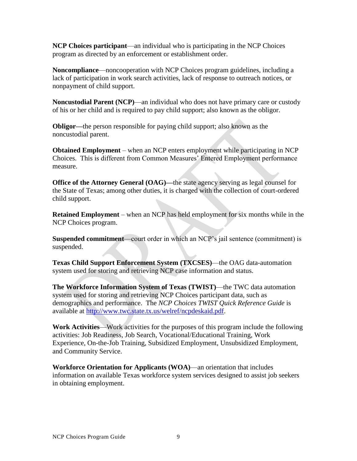**NCP Choices participant**—an individual who is participating in the NCP Choices program as directed by an enforcement or establishment order.

**Noncompliance**—noncooperation with NCP Choices program guidelines, including a lack of participation in work search activities, lack of response to outreach notices, or nonpayment of child support.

**Noncustodial Parent (NCP)**—an individual who does not have primary care or custody of his or her child and is required to pay child support; also known as the obligor.

**Obligor—**the person responsible for paying child support; also known as the noncustodial parent.

**Obtained Employment** – when an NCP enters employment while participating in NCP Choices. This is different from Common Measures' Entered Employment performance measure.

**Office of the Attorney General (OAG)—the state agency serving as legal counsel for** the State of Texas; among other duties, it is charged with the collection of court-ordered child support.

**Retained Employment** – when an NCP has held employment for six months while in the NCP Choices program.

**Suspended commitment**—court order in which an NCP's jail sentence (commitment) is suspended.

**Texas Child Support Enforcement System (TXCSES)**—the OAG data-automation system used for storing and retrieving NCP case information and status.

 demographics and performance. The *NCP Choices TWIST Quick Reference Guide* is **The Workforce Information System of Texas (TWIST)**—the TWC data automation system used for storing and retrieving NCP Choices participant data, such as available at [http://www.twc.state.tx.us/welref/ncpdeskaid.pdf.](http://www.twc.state.tx.us/welref/ncpdeskaid.pdf)

**Work Activities**—Work activities for the purposes of this program include the following activities: Job Readiness, Job Search, Vocational/Educational Training, Work Experience, On-the-Job Training, Subsidized Employment, Unsubsidized Employment, and Community Service.

**Workforce Orientation for Applicants (WOA)**—an orientation that includes information on available Texas workforce system services designed to assist job seekers in obtaining employment.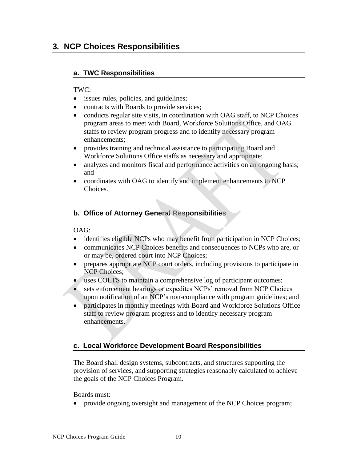## <span id="page-9-0"></span> **3***.* **NCP Choices Responsibilities**

### **a. TWC Responsibilities**

#### TWC:

- issues rules, policies, and guidelines;
- contracts with Boards to provide services;
- conducts regular site visits, in coordination with OAG staff, to NCP Choices program areas to meet with Board, Workforce Solutions Office, and OAG staffs to review program progress and to identify necessary program enhancements;
- provides training and technical assistance to participating Board and Workforce Solutions Office staffs as necessary and appropriate;
- analyzes and monitors fiscal and performance activities on an ongoing basis; and
- coordinates with OAG to identify and implement enhancements to NCP Choices.

### **b. Office of Attorney General Responsibilities**

#### OAG:

- identifies eligible NCPs who may benefit from participation in NCP Choices;
- communicates NCP Choices benefits and consequences to NCPs who are, or or may be, ordered court into NCP Choices;
- prepares appropriate NCP court orders, including provisions to participate in NCP Choices;
- uses COLTS to maintain a comprehensive log of participant outcomes;
- sets enforcement hearings or expedites NCPs' removal from NCP Choices upon notification of an NCP's non-compliance with program guidelines; and
- participates in monthly meetings with Board and Workforce Solutions Office staff to review program progress and to identify necessary program enhancements.

#### **c. Local Workforce Development Board Responsibilities**

The Board shall design systems, subcontracts, and structures supporting the provision of services, and supporting strategies reasonably calculated to achieve the goals of the NCP Choices Program.

Boards must:

provide ongoing oversight and management of the NCP Choices program;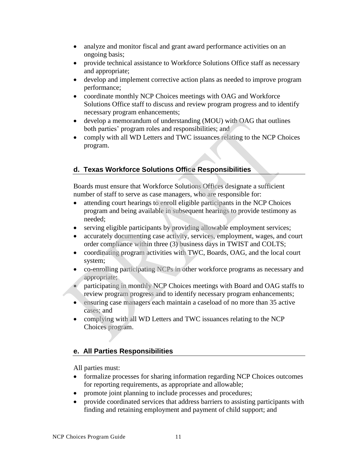- <span id="page-10-0"></span>• analyze and monitor fiscal and grant award performance activities on an ongoing basis;
- provide technical assistance to Workforce Solutions Office staff as necessary and appropriate;
- develop and implement corrective action plans as needed to improve program performance;
- coordinate monthly NCP Choices meetings with OAG and Workforce Solutions Office staff to discuss and review program progress and to identify necessary program enhancements;
- develop a memorandum of understanding (MOU) with OAG that outlines both parties' program roles and responsibilities; and
- comply with all WD Letters and TWC issuances relating to the NCP Choices program.

## **d. Texas Workforce Solutions Office Responsibilities**

Boards must ensure that Workforce Solutions Offices designate a sufficient number of staff to serve as case managers, who are responsible for:

- attending court hearings to enroll eligible participants in the NCP Choices program and being available in subsequent hearings to provide testimony as needed;
- serving eligible participants by providing allowable employment services;
- accurately documenting case activity, services, employment, wages, and court order compliance within three (3) business days in TWIST and COLTS;
- coordinating program activities with TWC, Boards, OAG, and the local court system;
- co-enrolling participating NCPs in other workforce programs as necessary and appropriate;
- **•** participating in monthly NCP Choices meetings with Board and OAG staffs to review program progress and to identify necessary program enhancements;
- ensuring case managers each maintain a caseload of no more than 35 active cases; and
- complying with all WD Letters and TWC issuances relating to the NCP Choices program.

## **e. All Parties Responsibilities**

All parties must:

- formalize processes for sharing information regarding NCP Choices outcomes for reporting requirements, as appropriate and allowable;
- promote joint planning to include processes and procedures;
- provide coordinated services that address barriers to assisting participants with finding and retaining employment and payment of child support; and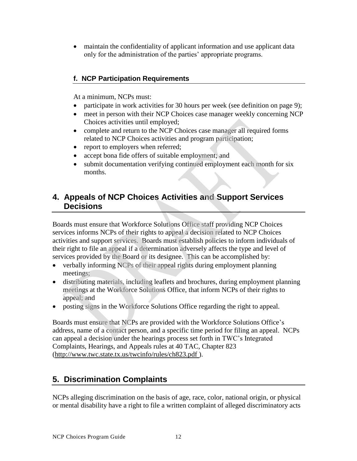<span id="page-11-0"></span> maintain the confidentiality of applicant information and use applicant data only for the administration of the parties' appropriate programs.

## **f. NCP Participation Requirements**

At a minimum, NCPs must:

- participate in work activities for 30 hours per week (see definition on page 9);
- meet in person with their NCP Choices case manager weekly concerning NCP Choices activities until employed;
- complete and return to the NCP Choices case manager all required forms related to NCP Choices activities and program participation;
- report to employers when referred;
- accept bona fide offers of suitable employment; and
- submit documentation verifying continued employment each month for six months.

## **4. Appeals of NCP Choices Activities and Support Services Decisions**

Boards must ensure that Workforce Solutions Office staff providing NCP Choices services informs NCPs of their rights to appeal a decision related to NCP Choices activities and support services. Boards must establish policies to inform individuals of their right to file an appeal if a determination adversely affects the type and level of services provided by the Board or its designee. This can be accomplished by:

- verbally informing NCPs of their appeal rights during employment planning meetings;
- distributing materials, including leaflets and brochures, during employment planning meetings at the Workforce Solutions Office, that inform NCPs of their rights to appeal; and
- posting signs in the Workforce Solutions Office regarding the right to appeal.

Boards must ensure that NCPs are provided with the Workforce Solutions Office's address, name of a contact person, and a specific time period for filing an appeal. NCPs can appeal a decision under the hearings process set forth in TWC's Integrated Complaints, Hearings, and Appeals rules at 40 TAC, Chapter 823 (http://www.twc.state.tx.us/twcinfo/rules/ch823.pdf ).

## **5. Discrimination Complaints**

NCPs alleging discrimination on the basis of age, race, color, national origin, or physical or mental disability have a right to file a written complaint of alleged discriminatory acts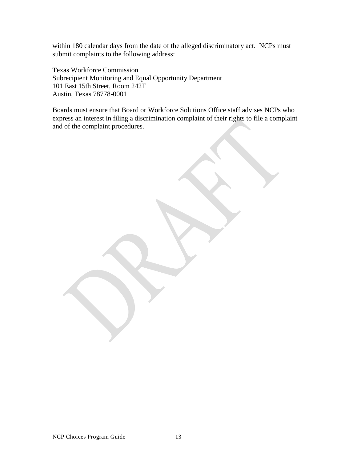within 180 calendar days from the date of the alleged discriminatory act. NCPs must

 submit complaints to the following address: Texas Workforce Commission Subrecipient Monitoring and Equal Opportunity Department 101 East 15th Street, Room 242T Austin, Texas 78778-0001

Boards must ensure that Board or Workforce Solutions Office staff advises NCPs who express an interest in filing a discrimination complaint of their rights to file a complaint and of the complaint procedures.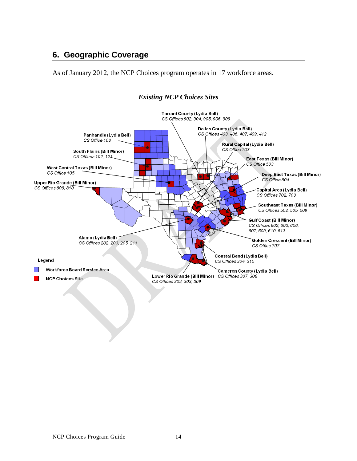## <span id="page-13-0"></span> **6. Geographic Coverage**

As of January 2012, the NCP Choices program operates in 17 workforce areas.



#### *Existing NCP Choices Sites*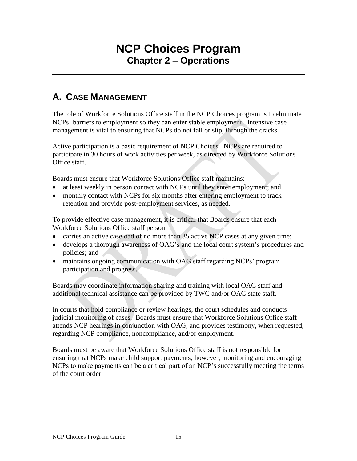# **NCP Choices Program Chapter 2 – Operations**

## <span id="page-14-0"></span> **A. CASE MANAGEMENT**

The role of Workforce Solutions Office staff in the NCP Choices program is to eliminate NCPs' barriers to employment so they can enter stable employment. Intensive case management is vital to ensuring that NCPs do not fall or slip, through the cracks.

Active participation is a basic requirement of NCP Choices. NCPs are required to participate in 30 hours of work activities per week, as directed by Workforce Solutions Office staff.

Boards must ensure that Workforce Solutions Office staff maintains:

- at least weekly in person contact with NCPs until they enter employment; and
- monthly contact with NCPs for six months after entering employment to track retention and provide post-employment services, as needed.

To provide effective case management, it is critical that Boards ensure that each Workforce Solutions Office staff person:

- carries an active caseload of no more than 35 active NCP cases at any given time;
- develops a thorough awareness of OAG's and the local court system's procedures and policies; and
- maintains ongoing communication with OAG staff regarding NCPs' program participation and progress.

Boards may coordinate information sharing and training with local OAG staff and additional technical assistance can be provided by TWC and/or OAG state staff.

In courts that hold compliance or review hearings, the court schedules and conducts judicial monitoring of cases. Boards must ensure that Workforce Solutions Office staff attends NCP hearings in conjunction with OAG, and provides testimony, when requested, regarding NCP compliance, noncompliance, and/or employment.

Boards must be aware that Workforce Solutions Office staff is not responsible for ensuring that NCPs make child support payments; however, monitoring and encouraging NCPs to make payments can be a critical part of an NCP's successfully meeting the terms of the court order.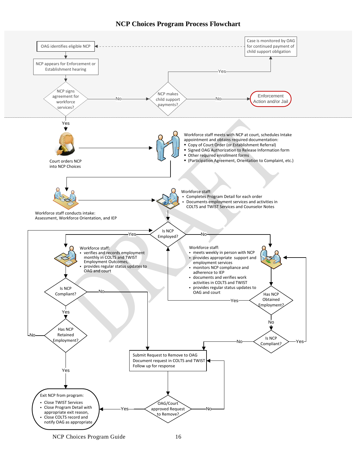



NCP Choices Program Guide 16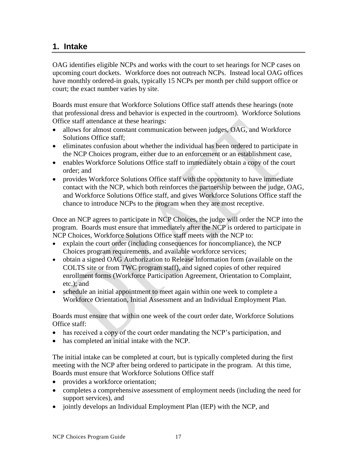## <span id="page-16-0"></span> **1. Intake**

 upcoming court dockets. Workforce does not outreach NCPs. Instead local OAG offices have monthly ordered-in goals, typically 15 NCPs per month per child support office or court; the exact number varies by site. OAG identifies eligible NCPs and works with the court to set hearings for NCP cases on

Boards must ensure that Workforce Solutions Office staff attends these hearings (note that professional dress and behavior is expected in the courtroom). Workforce Solutions Office staff attendance at these hearings:

- allows for almost constant communication between judges, OAG, and Workforce Solutions Office staff;
- eliminates confusion about whether the individual has been ordered to participate in the NCP Choices program, either due to an enforcement or an establishment case,
- enables Workforce Solutions Office staff to immediately obtain a copy of the court order; and
- provides Workforce Solutions Office staff with the opportunity to have immediate contact with the NCP, which both reinforces the partnership between the judge, OAG, and Workforce Solutions Office staff, and gives Workforce Solutions Office staff the chance to introduce NCPs to the program when they are most receptive.

Once an NCP agrees to participate in NCP Choices, the judge will order the NCP into the program. Boards must ensure that immediately after the NCP is ordered to participate in NCP Choices, Workforce Solutions Office staff meets with the NCP to:

- explain the court order (including consequences for noncompliance), the NCP Choices program requirements, and available workforce services;
- obtain a signed OAG Authorization to Release Information form (available on the COLTS site or from TWC program staff), and signed copies of other required enrollment forms (Workforce Participation Agreement, Orientation to Complaint, etc.); and
- schedule an initial appointment to meet again within one week to complete a Workforce Orientation, Initial Assessment and an Individual Employment Plan.

Boards must ensure that within one week of the court order date, Workforce Solutions Office staff:

- has received a copy of the court order mandating the NCP's participation, and
- has completed an initial intake with the NCP.

The initial intake can be completed at court, but is typically completed during the first meeting with the NCP after being ordered to participate in the program. At this time, Boards must ensure that Workforce Solutions Office staff

- provides a workforce orientation;
- completes a comprehensive assessment of employment needs (including the need for support services), and
- jointly develops an Individual Employment Plan (IEP) with the NCP, and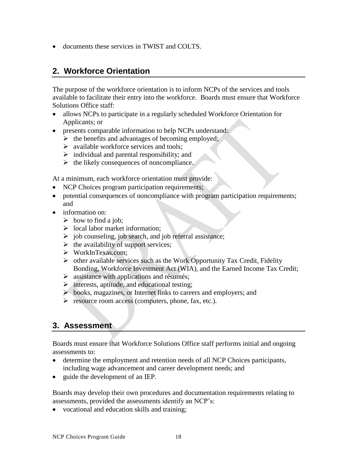<span id="page-17-0"></span>documents these services in TWIST and COLTS.

## **2. Workforce Orientation**

The purpose of the workforce orientation is to inform NCPs of the services and tools available to facilitate their entry into the workforce. Boards must ensure that Workforce Solutions Office staff:

- allows NCPs to participate in a regularly scheduled Workforce Orientation for Applicants; or
- presents comparable information to help NCPs understand:
	- $\triangleright$  the benefits and advantages of becoming employed;
	- $\triangleright$  available workforce services and tools:
	- $\triangleright$  individual and parental responsibility; and
	- $\triangleright$  the likely consequences of noncompliance.

At a minimum, each workforce orientation must provide:

- NCP Choices program participation requirements;
- potential consequences of noncompliance with program participation requirements; and
- information on:
	- $\triangleright$  how to find a job;
	- $\triangleright$  local labor market information;
	- $\triangleright$  job counseling, job search, and job referral assistance;
	- $\triangleright$  the availability of support services;
	- [WorkInTexas.com;](http://WorkInTexas.com)
	- $\triangleright$  other available services such as the Work Opportunity Tax Credit, Fidelity Bonding, Workforce Investment Act (WIA), and the Earned Income Tax Credit;
	- $\triangleright$  assistance with applications and résumés;
	- $\triangleright$  interests, aptitude, and educational testing;
	- books, magazines, or Internet links to careers and employers; and
	- $\triangleright$  resource room access (computers, phone, fax, etc.).

## **3. Assessment**

Boards must ensure that Workforce Solutions Office staff performs initial and ongoing assessments to:

- determine the employment and retention needs of all NCP Choices participants, including wage advancement and career development needs; and
- guide the development of an IEP.

Boards may develop their own procedures and documentation requirements relating to assessments, provided the assessments identify an NCP's:

vocational and education skills and training;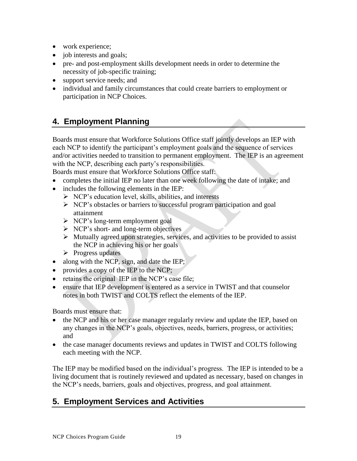- <span id="page-18-0"></span>• work experience;
- job interests and goals;
- pre- and post-employment skills development needs in order to determine the necessity of job-specific training;
- support service needs; and
- individual and family circumstances that could create barriers to employment or participation in NCP Choices.

## **4. Employment Planning**

Boards must ensure that Workforce Solutions Office staff jointly develops an IEP with each NCP to identify the participant's employment goals and the sequence of services and/or activities needed to transition to permanent employment. The IEP is an agreement with the NCP, describing each party's responsibilities.

Boards must ensure that Workforce Solutions Office staff:

- completes the initial IEP no later than one week following the date of intake; and
- includes the following elements in the IEP:
	- $\triangleright$  NCP's education level, skills, abilities, and interests
	- $\triangleright$  NCP's obstacles or barriers to successful program participation and goal attainment
	- $\triangleright$  NCP's long-term employment goal
	- $\triangleright$  NCP's short- and long-term objectives
	- $\triangleright$  Mutually agreed upon strategies, services, and activities to be provided to assist the NCP in achieving his or her goals
	- $\triangleright$  Progress updates
- along with the NCP, sign, and date the IEP;
- provides a copy of the IEP to the NCP;
- retains the original IEP in the NCP's case file;
- ensure that IEP development is entered as a service in TWIST and that counselor notes in both TWIST and COLTS reflect the elements of the IEP.

Boards must ensure that:

- the NCP and his or her case manager regularly review and update the IEP, based on any changes in the NCP's goals, objectives, needs, barriers, progress, or activities; and
- the case manager documents reviews and updates in TWIST and COLTS following each meeting with the NCP.

The IEP may be modified based on the individual's progress. The IEP is intended to be a living document that is routinely reviewed and updated as necessary, based on changes in the NCP's needs, barriers, goals and objectives, progress, and goal attainment.

## **5. Employment Services and Activities**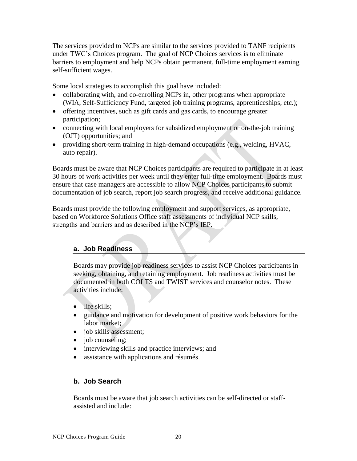<span id="page-19-0"></span> barriers to employment and help NCPs obtain permanent, full-time employment earning The services provided to NCPs are similar to the services provided to TANF recipients under TWC's Choices program. The goal of NCP Choices services is to eliminate self-sufficient wages.

Some local strategies to accomplish this goal have included:

- collaborating with, and co-enrolling NCPs in, other programs when appropriate (WIA, Self-Sufficiency Fund, targeted job training programs, apprenticeships, etc.);
- offering incentives, such as gift cards and gas cards, to encourage greater participation;
- connecting with local employers for subsidized employment or on-the-job training (OJT) opportunities; and
- providing short-term training in high-demand occupations (e.g., welding, HVAC, auto repair).

Boards must be aware that NCP Choices participants are required to participate in at least 30 hours of work activities per week until they enter full-time employment. Boards must ensure that case managers are accessible to allow NCP Choices participants to submit documentation of job search, report job search progress, and receive additional guidance.

Boards must provide the following employment and support services, as appropriate, based on Workforce Solutions Office staff assessments of individual NCP skills, strengths and barriers and as described in the NCP's IEP.

### **a. Job Readiness**

Boards may provide job readiness services to assist NCP Choices participants in seeking, obtaining, and retaining employment. Job readiness activities must be documented in both COLTS and TWIST services and counselor notes. These activities include:

- life skills;
- guidance and motivation for development of positive work behaviors for the labor market;
- job skills assessment;
- job counseling;
- interviewing skills and practice interviews; and
- assistance with applications and résumés.

#### **b. Job Search**

Boards must be aware that job search activities can be self-directed or staffassisted and include: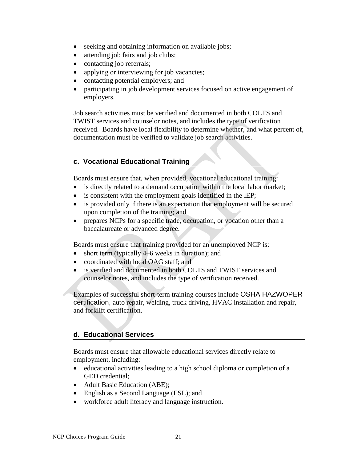- <span id="page-20-0"></span>• seeking and obtaining information on available jobs;
- attending job fairs and job clubs;
- contacting job referrals;
- applying or interviewing for job vacancies;
- contacting potential employers; and
- participating in job development services focused on active engagement of employers.

Job search activities must be verified and documented in both COLTS and TWIST services and counselor notes, and includes the type of verification received. Boards have local flexibility to determine whether, and what percent of, documentation must be verified to validate job search activities.

### **c. Vocational Educational Training**

Boards must ensure that, when provided, vocational educational training:

- is directly related to a demand occupation within the local labor market;
- is consistent with the employment goals identified in the IEP;
- is provided only if there is an expectation that employment will be secured upon completion of the training; and
- prepares NCPs for a specific trade, occupation, or vocation other than a baccalaureate or advanced degree.

Boards must ensure that training provided for an unemployed NCP is:

- short term (typically 4–6 weeks in duration); and
- coordinated with local OAG staff; and
- is verified and documented in both COLTS and TWIST services and counselor notes, and includes the type of verification received.

Examples of successful short-term training courses include OSHA HAZWOPER certification, auto repair, welding, truck driving, HVAC installation and repair, and forklift certification.

#### **d. Educational Services**

Boards must ensure that allowable educational services directly relate to employment, including:

- educational activities leading to a high school diploma or completion of a GED credential;
- Adult Basic Education (ABE);
- English as a Second Language (ESL); and
- workforce adult literacy and language instruction.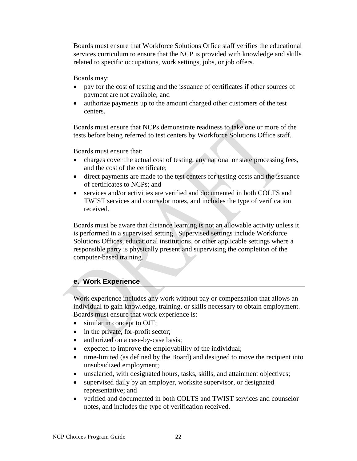<span id="page-21-0"></span>Boards must ensure that Workforce Solutions Office staff verifies the educational services curriculum to ensure that the NCP is provided with knowledge and skills related to specific occupations, work settings, jobs, or job offers.

Boards may:

- pay for the cost of testing and the issuance of certificates if other sources of payment are not available; and
- authorize payments up to the amount charged other customers of the test centers.

Boards must ensure that NCPs demonstrate readiness to take one or more of the tests before being referred to test centers by Workforce Solutions Office staff.

Boards must ensure that:

- charges cover the actual cost of testing, any national or state processing fees, and the cost of the certificate;
- direct payments are made to the test centers for testing costs and the issuance of certificates to NCPs; and
- services and/or activities are verified and documented in both COLTS and TWIST services and counselor notes, and includes the type of verification received.

Boards must be aware that distance learning is not an allowable activity unless it is performed in a supervised setting. Supervised settings include Workforce Solutions Offices, educational institutions, or other applicable settings where a responsible party is physically present and supervising the completion of the computer-based training.

## **e. Work Experience**

Work experience includes any work without pay or compensation that allows an individual to gain knowledge, training, or skills necessary to obtain employment. Boards must ensure that work experience is:

- similar in concept to OJT;
- in the private, for-profit sector;
- authorized on a case-by-case basis;
- expected to improve the employability of the individual;
- time-limited (as defined by the Board) and designed to move the recipient into unsubsidized employment;
- unsalaried, with designated hours, tasks, skills, and attainment objectives;
- supervised daily by an employer, worksite supervisor, or designated representative; and
- verified and documented in both COLTS and TWIST services and counselor notes, and includes the type of verification received.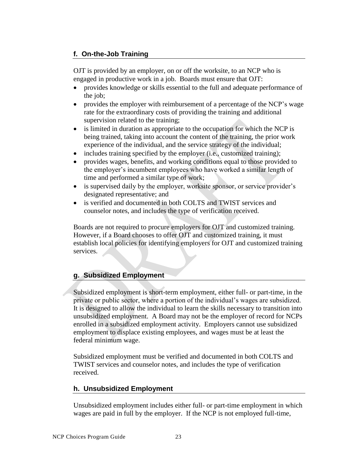## <span id="page-22-0"></span> **f. On-the-Job Training**

OJT is provided by an employer, on or off the worksite, to an NCP who is engaged in productive work in a job. Boards must ensure that OJT:

- provides knowledge or skills essential to the full and adequate performance of the job;
- provides the employer with reimbursement of a percentage of the NCP's wage rate for the extraordinary costs of providing the training and additional supervision related to the training;
- is limited in duration as appropriate to the occupation for which the NCP is being trained, taking into account the content of the training, the prior work experience of the individual, and the service strategy of the individual;
- includes training specified by the employer (i.e., customized training);
- provides wages, benefits, and working conditions equal to those provided to the employer's incumbent employees who have worked a similar length of time and performed a similar type of work;
- is supervised daily by the employer, worksite sponsor, or service provider's designated representative; and
- is verified and documented in both COLTS and TWIST services and counselor notes, and includes the type of verification received.

Boards are not required to procure employers for OJT and customized training. However, if a Board chooses to offer OJT and customized training, it must establish local policies for identifying employers for OJT and customized training services.

## **g. Subsidized Employment**

Subsidized employment is short-term employment, either full- or part-time, in the private or public sector, where a portion of the individual's wages are subsidized. It is designed to allow the individual to learn the skills necessary to transition into unsubsidized employment. A Board may not be the employer of record for NCPs enrolled in a subsidized employment activity. Employers cannot use subsidized employment to displace existing employees, and wages must be at least the federal minimum wage.

Subsidized employment must be verified and documented in both COLTS and TWIST services and counselor notes, and includes the type of verification received.

#### **h. Unsubsidized Employment**

 Unsubsidized employment includes either full- or part-time employment in which wages are paid in full by the employer. If the NCP is not employed full-time,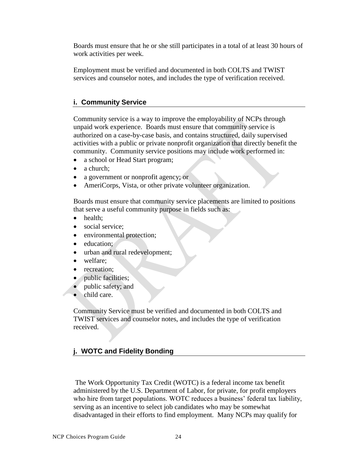<span id="page-23-0"></span> Boards must ensure that he or she still participates in a total of at least 30 hours of work activities per week.

 services and counselor notes, and includes the type of verification received. Employment must be verified and documented in both COLTS and TWIST

#### **i. Community Service**

Community service is a way to improve the employability of NCPs through unpaid work experience. Boards must ensure that community service is authorized on a case-by-case basis, and contains structured, daily supervised activities with a public or private nonprofit organization that directly benefit the community. Community service positions may include work performed in:

- a school or Head Start program;
- a church:
- a government or nonprofit agency; or
- AmeriCorps, Vista, or other private volunteer organization.

Boards must ensure that community service placements are limited to positions that serve a useful community purpose in fields such as:

- health;
- social service;
- environmental protection;
- education;
- urban and rural redevelopment;
- welfare;
- recreation;
- public facilities;
- public safety; and
- child care.

Community Service must be verified and documented in both COLTS and TWIST services and counselor notes, and includes the type of verification received.

## **j. WOTC and Fidelity Bonding**

 disadvantaged in their efforts to find employment. Many NCPs may qualify for The Work Opportunity Tax Credit (WOTC) is a federal income tax benefit administered by the U.S. Department of Labor, for private, for profit employers who hire from target populations. WOTC reduces a business' federal tax liability, serving as an incentive to select job candidates who may be somewhat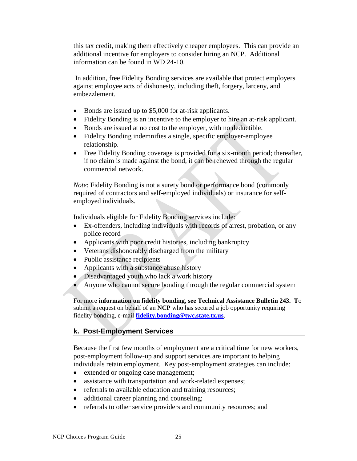<span id="page-24-0"></span> additional incentive for employers to consider hiring an NCP. Additional this tax credit, making them effectively cheaper employees. This can provide an information can be found in WD 24-10.

In addition, free Fidelity Bonding services are available that protect employers against employee acts of dishonesty, including theft, forgery, larceny, and embezzlement.

- Bonds are issued up to \$5,000 for at-risk applicants.
- Fidelity Bonding is an incentive to the employer to hire an at-risk applicant.
- Bonds are issued at no cost to the employer, with no deductible.
- Fidelity Bonding indemnifies a single, specific employer-employee relationship.
- Free Fidelity Bonding coverage is provided for a six-month period; thereafter, if no claim is made against the bond, it can be renewed through the regular commercial network.

*Note*: Fidelity Bonding is not a surety bond or performance bond (commonly required of contractors and self-employed individuals) or insurance for selfemployed individuals.

Individuals eligible for Fidelity Bonding services include:

- Ex-offenders, including individuals with records of arrest, probation, or any police record
- Applicants with poor credit histories, including bankruptcy
- Veterans dishonorably discharged from the military
- Public assistance recipients
- Applicants with a substance abuse history
- Disadvantaged youth who lack a work history
- Anyone who cannot secure bonding through the regular commercial system

For more **information on fidelity bonding, see Technical Assistance Bulletin 243. T**o submit a request on behalf of an **NCP** who has secured a job opportunity requiring fidelity bonding, e-mail **[fidelity.bonding@twc.state.tx.us](mailto:fidelity.bonding@twc.state.tx.us)**.

## **k. Post-Employment Services**

Because the first few months of employment are a critical time for new workers, post-employment follow-up and support services are important to helping individuals retain employment. Key post-employment strategies can include:

- extended or ongoing case management;
- assistance with transportation and work-related expenses;
- referrals to available education and training resources;
- additional career planning and counseling;
- referrals to other service providers and community resources; and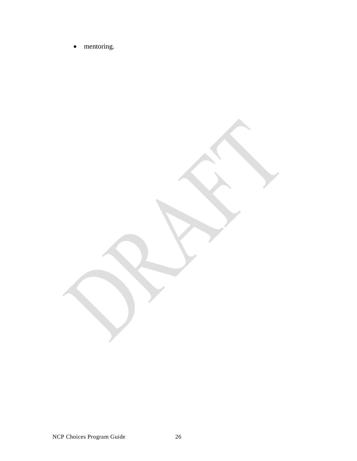• mentoring.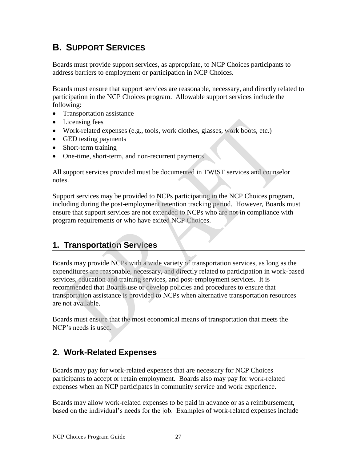## <span id="page-26-0"></span> **B. SUPPORT SERVICES**

Boards must provide support services, as appropriate, to NCP Choices participants to address barriers to employment or participation in NCP Choices.

Boards must ensure that support services are reasonable, necessary, and directly related to participation in the NCP Choices program. Allowable support services include the following:

- Transportation assistance
- Licensing fees
- Work-related expenses (e.g., tools, work clothes, glasses, work boots, etc.)
- GED testing payments
- Short-term training
- One-time, short-term, and non-recurrent payments

All support services provided must be documented in TWIST services and counselor notes.

Support services may be provided to NCPs participating in the NCP Choices program, including during the post-employment retention tracking period. However, Boards must ensure that support services are not extended to NCPs who are not in compliance with program requirements or who have exited NCP Choices.

## **1. Transportation Services**

Boards may provide NCPs with a wide variety of transportation services, as long as the expenditures are reasonable, necessary, and directly related to participation in work-based services, education and training services, and post-employment services. It is recommended that Boards use or develop policies and procedures to ensure that transportation assistance is provided to NCPs when alternative transportation resources are not available.

Boards must ensure that the most economical means of transportation that meets the NCP's needs is used.

## **2. Work-Related Expenses**

 participants to accept or retain employment. Boards also may pay for work-related expenses when an NCP participates in community service and work experience. Boards may pay for work-related expenses that are necessary for NCP Choices

 Boards may allow work-related expenses to be paid in advance or as a reimbursement, based on the individual's needs for the job. Examples of work-related expenses include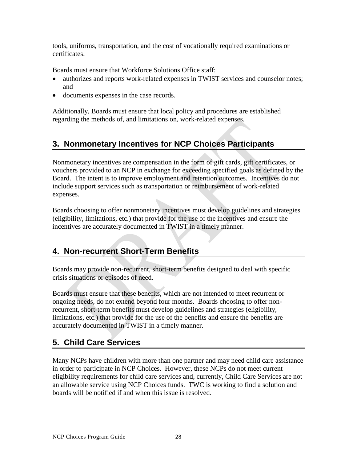<span id="page-27-0"></span>tools, uniforms, transportation, and the cost of vocationally required examinations or certificates.

Boards must ensure that Workforce Solutions Office staff:

- authorizes and reports work-related expenses in TWIST services and counselor notes; and
- documents expenses in the case records.

Additionally, Boards must ensure that local policy and procedures are established regarding the methods of, and limitations on, work-related expenses.

## **3. Nonmonetary Incentives for NCP Choices Participants**

Nonmonetary incentives are compensation in the form of gift cards, gift certificates, or vouchers provided to an NCP in exchange for exceeding specified goals as defined by the Board. The intent is to improve employment and retention outcomes. Incentives do not include support services such as transportation or reimbursement of work-related expenses.

Boards choosing to offer nonmonetary incentives must develop guidelines and strategies (eligibility, limitations, etc.) that provide for the use of the incentives and ensure the incentives are accurately documented in TWIST in a timely manner.

## **4. Non-recurrent Short-Term Benefits**

Boards may provide non-recurrent, short-term benefits designed to deal with specific crisis situations or episodes of need.

Boards must ensure that these benefits, which are not intended to meet recurrent or ongoing needs, do not ex tend beyond four months. Boards choosing to offer nonrecurrent, short-term benefits must develop guidelines and strategies (eligibility, limitations, etc.) that provide for the use of the benefits and ensure the benefits are accurately documented in TWIST in a timely manner.

## **5. Child Care Services**

Many NCPs have children with more than one partner and may need child care assistance in order to participate in NCP Choices. However, these NCPs do not meet current eligibility requirements for child care services and, currently, Child Care Services are not an allowable service using NCP Choices funds. TWC is working to find a solution and boards will be notified if and when this issue is resolved.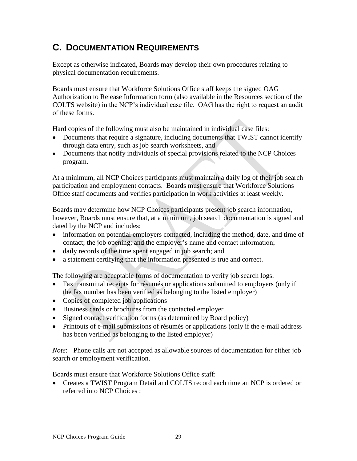## <span id="page-28-0"></span>**C. DOCUMENTATION REQUIREMENTS**

Except as otherwise indicated, Boards may develop their own procedures relating to physical documentation requirements.

Boards must ensure that Workforce Solutions Office staff keeps the signed OAG Authorization to Release Information form (also available in the Resources section of the COLTS website) in the NCP's individual case file. OAG has the right to request an audit of these forms.

Hard copies of the following must also be maintained in individual case files:

- Documents that require a signature, including documents that TWIST cannot identify through data entry, such as job search worksheets, and
- Documents that notify individuals of special provisions related to the NCP Choices program.

At a minimum, all NCP Choices participants must maintain a daily log of their job search participation and employment contacts. Boards must ensure that Workforce Solutions Office staff documents and verifies participation in work activities at least weekly.

Boards may determine how NCP Choices participants present job search information, however, Boards must ensure that, at a minimum, job search documentation is signed and dated by the NCP and includes:

- information on potential employers contacted, including the method, date, and time of contact; the job opening; and the employer's name and contact information;
- daily records of the time spent engaged in job search; and
- a statement certifying that the information presented is true and correct.

The following are acceptable forms of documentation to verify job search logs:

- Fax transmittal receipts for résumés or applications submitted to employers (only if the fax number has been verified as belonging to the listed employer)
- Copies of completed job applications
- Business cards or brochures from the contacted employer
- Signed contact verification forms (as determined by Board policy)
- Printouts of e-mail submissions of résumés or applications (only if the e-mail address has been verified as belonging to the listed employer)

*Note*: Phone calls are not accepted as allowable sources of documentation for either job search or employment verification.

Boards must ensure that Workforce Solutions Office staff:

 Creates a TWIST Program Detail and COLTS record each time an NCP is ordered or referred into NCP Choices ;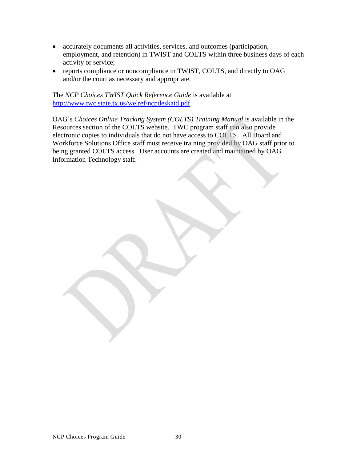- accurately documents all activities, services, and outcomes (participation, employment, and retention) in TWIST and COLTS within three business days of each activity or service;
- reports compliance or noncompliance in TWIST, COLTS, and directly to OAG and/or the court as necessary and appropriate.

 The *NCP Choices TWIST Quick Reference Guide* is available at [http://www.twc.state.tx.us/welref/ncpdeskaid.pdf.](http://www.twc.state.tx.us/welref/ncpdeskaid.pdf)

OAG's *Choices Online Tracking System (COLTS) Training Manual* is available in the Resources section of the COLTS website. TWC program staff can also provide electronic copies to individuals that do not have access to COLTS. All Board and Workforce Solutions Office staff must receive training provided by OAG staff prior to being granted COLTS access. User accounts are created and maintained by OAG Information Technology staff.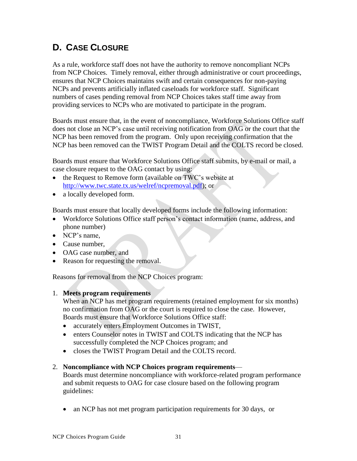## <span id="page-30-0"></span> **D. CASE CLOSURE**

As a rule, workforce staff does not have the authority to remove noncompliant NCPs from NCP Choices. Timely removal, either through administrative or court proceedings, ensures that NCP Choices maintains swift and certain consequences for non-paying NCPs and prevents artificially inflated caseloads for workforce staff. Significant numbers of cases pending removal from NCP Choices takes staff time away from providing services to NCPs who are motivated to participate in the program.

Boards must ensure that, in the event of noncompliance, Workforce Solutions Office staff does not close an NCP's case until receiving notification from OAG or the court that the NCP has been removed from the program. Only upon receiving confirmation that the NCP has been removed can the TWIST Program Detail and the COLTS record be closed.

Boards must ensure that Workforce Solutions Office staff submits, by e-mail or mail, a case closure request to the OAG contact by using:

- the Request to Remove form (available on TWC's website at [http://www.twc.state.tx.us/welref/ncpremoval.pdf\)](http://www.twc.state.tx.us/welref/ncpremoval.pdf); or
- a locally developed form.

Boards must ensure that locally developed forms include the following information:

- Workforce Solutions Office staff person's contact information (name, address, and phone number)
- NCP's name,
- Cause number,
- OAG case number, and
- Reason for requesting the removal.

Reasons for removal from the NCP Choices program:

#### 1. **Meets program requirements**

When an NCP has met program requirements (retained employment for six months) no confirmation from OAG or the court is required to close the case. However, Boards must ensure that Workforce Solutions Office staff:

- accurately enters Employment Outcomes in TWIST,
- enters Counselor notes in TWIST and COLTS indicating that the NCP has successfully completed the NCP Choices program; and
- closes the TWIST Program Detail and the COLTS record.

#### 2. **Noncompliance with NCP Choices program requirements**—

Boards must determine noncompliance with workforce-related program performance and submit requests to OAG for case closure based on the following program guidelines:

• an NCP has not met program participation requirements for 30 days, or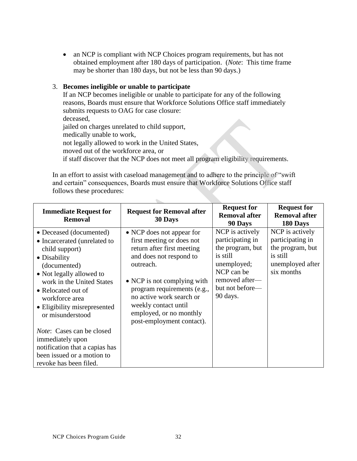• an NCP is compliant with NCP Choices program requirements, but has not obtained employment after 180 days of participation. (*Note*: This time frame may be shorter than 180 days, but not be less than 90 days.)

#### 3. **Becomes ineligible or unable to participate**

If an NCP becomes ineligible or unable to participate for any of the following reasons, Boards must ensure that Workforce Solutions Office staff immediately submits requests to OAG for case closure: deceased, jailed on charges unrelated to child support, medically unable to work, not legally allowed to work in the United States, moved out of the workforce area, or if staff discover that the NCP does not meet all program eligibility requirements.

In an effort to assist with caseload management and to adhere to the principle of "swift and certain" consequences, Boards must ensure that Workforce Solutions Office staff follows these procedures:

 $\mathcal{C}_{\mathcal{M}}$ 

| <b>Immediate Request for</b><br><b>Removal</b>                                                                                                                                                                                                                 | <b>Request for Removal after</b><br>30 Days                                                                                                                                                                                                                                                            | <b>Request for</b><br><b>Removal after</b><br>90 Days                                                                                             | <b>Request for</b><br><b>Removal after</b><br>180 Days                                                |
|----------------------------------------------------------------------------------------------------------------------------------------------------------------------------------------------------------------------------------------------------------------|--------------------------------------------------------------------------------------------------------------------------------------------------------------------------------------------------------------------------------------------------------------------------------------------------------|---------------------------------------------------------------------------------------------------------------------------------------------------|-------------------------------------------------------------------------------------------------------|
| • Deceased (documented)<br>• Incarcerated (unrelated to<br>child support)<br>• Disability<br>(documented)<br>• Not legally allowed to<br>work in the United States<br>• Relocated out of<br>workforce area<br>• Eligibility misrepresented<br>or misunderstood | • NCP does not appear for<br>first meeting or does not<br>return after first meeting<br>and does not respond to<br>outreach.<br>• NCP is not complying with<br>program requirements (e.g.,<br>no active work search or<br>weekly contact until<br>employed, or no monthly<br>post-employment contact). | NCP is actively<br>participating in<br>the program, but<br>is still<br>unemployed;<br>NCP can be<br>removed after-<br>but not before—<br>90 days. | NCP is actively<br>participating in<br>the program, but<br>is still<br>unemployed after<br>six months |
| <i>Note</i> : Cases can be closed<br>immediately upon<br>notification that a capias has<br>been issued or a motion to<br>revoke has been filed.                                                                                                                |                                                                                                                                                                                                                                                                                                        |                                                                                                                                                   |                                                                                                       |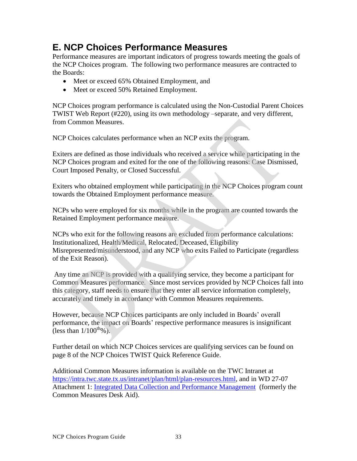## **E. NCP Choices Performance Measures**

 the NCP Choices program. The following two performance measures are contracted to Performance measures are important indicators of progress towards meeting the goals of the Boards:

- Meet or exceed 65% Obtained Employment, and
- Meet or exceed 50% Retained Employment.

NCP Choices program performance is calculated using the Non-Custodial Parent Choices TWIST Web Report (#220), using its own methodology –separate, and very different, from Common Measures.

NCP Choices calculates performance when an NCP exits the program.

Exiters are defined as those individuals who received a service while participating in the NCP Choices program and exited for the one of the following reasons: Case Dismissed, Court Imposed Penalty, or Closed Successful.

Exiters who obtained employment while participating in the NCP Choices program count towards the Obtained Employment performance measure.

NCPs who were employed for six months while in the program are counted towards the Retained Employment performance measure.

NCPs who exit for the following reasons are excluded from performance calculations: Institutionalized, Health/Medical, Relocated, Deceased, Eligibility Misrepresented/misunderstood, and any NCP who exits Failed to Participate (regardless of the Exit Reason).

Any time an NCP is provided with a qualifying service, they become a participant for Common Measures performance. Since most services provided by NCP Choices fall into this category, staff needs to ensure that they enter all service information completely, accurately and timely in accordance with Common Measures requirements.

However, because NCP Choices participants are only included in Boards' overall performance, the impact on Boards' respective performance measures is insignificant (less than  $1/100^{th}\%$ ).

Further detail on which NCP Choices services are qualifying services can be found on page 8 of the NCP Choices TWIST Quick Reference Guide.

Attachment 1: *Integrated Data Collection and Performance Management* (formerly the Common Measures Desk Aid). Additional Common Measures information is available on the TWC Intranet at [https://intra.twc.state.tx.us/intranet/plan/html/plan-resources.html,](https://intra.twc.state.tx.us/intranet/plan/html/plan-resources.html) and in WD 27-07 Common Measures Desk Aid).<br>NCP Choices Program Guide 33